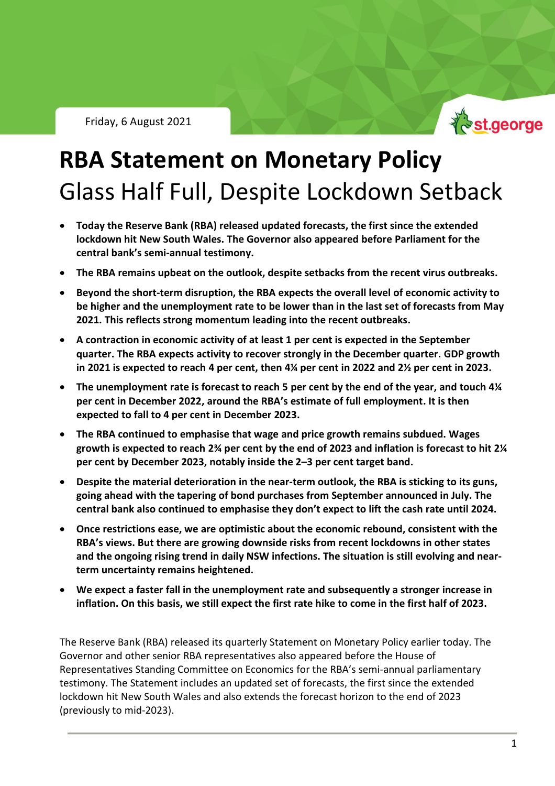

# **RBA Statement on Monetary Policy** Glass Half Full, Despite Lockdown Setback

- **Today the Reserve Bank (RBA) released updated forecasts, the first since the extended lockdown hit New South Wales. The Governor also appeared before Parliament for the central bank's semi-annual testimony.**
- **The RBA remains upbeat on the outlook, despite setbacks from the recent virus outbreaks.**
- **Beyond the short-term disruption, the RBA expects the overall level of economic activity to be higher and the unemployment rate to be lower than in the last set of forecasts from May 2021. This reflects strong momentum leading into the recent outbreaks.**
- **A contraction in economic activity of at least 1 per cent is expected in the September quarter. The RBA expects activity to recover strongly in the December quarter. GDP growth in 2021 is expected to reach 4 per cent, then 4¼ per cent in 2022 and 2½ per cent in 2023.**
- **The unemployment rate is forecast to reach 5 per cent by the end of the year, and touch 4¼ per cent in December 2022, around the RBA's estimate of full employment. It is then expected to fall to 4 per cent in December 2023.**
- **The RBA continued to emphasise that wage and price growth remains subdued. Wages growth is expected to reach 2¾ per cent by the end of 2023 and inflation is forecast to hit 2¼ per cent by December 2023, notably inside the 2–3 per cent target band.**
- **Despite the material deterioration in the near-term outlook, the RBA is sticking to its guns, going ahead with the tapering of bond purchases from September announced in July. The central bank also continued to emphasise they don't expect to lift the cash rate until 2024.**
- **Once restrictions ease, we are optimistic about the economic rebound, consistent with the RBA's views. But there are growing downside risks from recent lockdowns in other states and the ongoing rising trend in daily NSW infections. The situation is still evolving and nearterm uncertainty remains heightened.**
- **We expect a faster fall in the unemployment rate and subsequently a stronger increase in inflation. On this basis, we still expect the first rate hike to come in the first half of 2023.**

The Reserve Bank (RBA) released its quarterly Statement on Monetary Policy earlier today. The Governor and other senior RBA representatives also appeared before the House of Representatives Standing Committee on Economics for the RBA's semi-annual parliamentary testimony. The Statement includes an updated set of forecasts, the first since the extended lockdown hit New South Wales and also extends the forecast horizon to the end of 2023 (previously to mid-2023).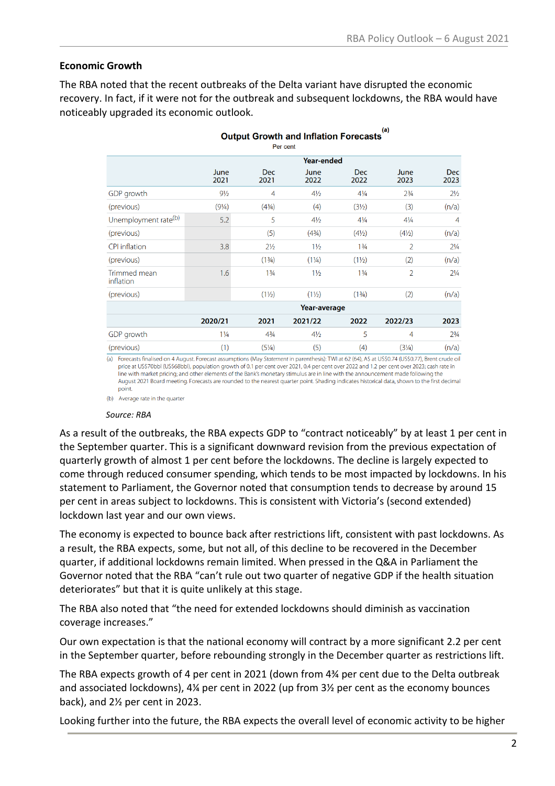$(a)$ 

#### **Economic Growth**

The RBA noted that the recent outbreaks of the Delta variant have disrupted the economic recovery. In fact, if it were not for the outbreak and subsequent lockdowns, the RBA would have noticeably upgraded its economic outlook.

| (a)<br><b>Output Growth and Inflation Forecasts</b><br>Per cent                                                                                     |                   |                    |                                  |                               |                                  |                    |
|-----------------------------------------------------------------------------------------------------------------------------------------------------|-------------------|--------------------|----------------------------------|-------------------------------|----------------------------------|--------------------|
|                                                                                                                                                     | <b>Year-ended</b> |                    |                                  |                               |                                  |                    |
|                                                                                                                                                     | June<br>2021      | <b>Dec</b><br>2021 | June<br>2022                     | <b>Dec</b><br>2022            | June<br>2023                     | <b>Dec</b><br>2023 |
| <b>GDP</b> growth                                                                                                                                   | $9\frac{1}{2}$    | 4                  | $4\frac{1}{2}$                   | $4\frac{1}{4}$                | $2\frac{3}{4}$                   | $2\frac{1}{2}$     |
| (previous)                                                                                                                                          | $(9\frac{1}{4})$  | $(4^{3}/_{4})$     | (4)                              | (3 <sub>2</sub> )             | (3)                              | (n/a)              |
| Unemployment rate <sup>(b)</sup>                                                                                                                    | 5.2               | 5                  | $4\frac{1}{2}$                   | $4\frac{1}{4}$                | $4\frac{1}{4}$                   | 4                  |
| (previous)                                                                                                                                          |                   | (5)                | (4 <sup>3</sup> / <sub>4</sub> ) | $(4\frac{1}{2})$              | $(4\frac{1}{2})$                 | (n/a)              |
| <b>CPI</b> inflation                                                                                                                                | 3.8               | $2\frac{1}{2}$     | $1\frac{1}{2}$                   | 1 <sup>3</sup> / <sub>4</sub> | $\overline{2}$                   | $2\frac{1}{4}$     |
| (previous)                                                                                                                                          |                   | (13/4)             | $(1\frac{1}{4})$                 | $(1\frac{1}{2})$              | (2)                              | (n/a)              |
| Trimmed mean<br>inflation                                                                                                                           | 1.6               | 13/4               | $1\frac{1}{2}$                   | $1\frac{3}{4}$                | 2                                | $2\frac{1}{4}$     |
| (previous)                                                                                                                                          |                   | $(1\frac{1}{2})$   | $(1\frac{1}{2})$                 | (13/4)                        | (2)                              | (n/a)              |
|                                                                                                                                                     | Year-average      |                    |                                  |                               |                                  |                    |
|                                                                                                                                                     | 2020/21           | 2021               | 2021/22                          | 2022                          | 2022/23                          | 2023               |
| GDP growth                                                                                                                                          | $1\frac{1}{4}$    | $4^{3}/4$          | $4\frac{1}{2}$                   | 5                             | 4                                | $2^{3}/4$          |
| (previous)                                                                                                                                          | (1)               | $(5\frac{1}{4})$   | (5)                              | (4)                           | (3 <sup>1</sup> / <sub>4</sub> ) | (n/a)              |
| a) Forecast Roalized on A Associated Forecast commetions (Mass Continuous in monophosis). TWI at C2 (CA), AC at LICCO 74 (LICCO 77). Dead and a all |                   |                    |                                  |                               |                                  |                    |

August. Forecast assumptions (May Statement in parenthesis): TWI at 62 (64), A\$ at US\$0.74 (US\$0.77), Brent crude oil (a) Forecasts finalised on price at US\$70bbl (US\$68bbl), population growth of 0.1 per cent over 2021, 0.4 per cent over 2022 and 1.2 per cent over 2023; cash rate in line with market pricing; and other elements of the Bank's monetary stimulus are in line with the announcement made following the August 2021 Board meeting. Forecasts are rounded to the nearest quarter point. Shading indicates historical data, shown to the first decimal point.

(b) Average rate in the quarter

#### *Source: RBA*

As a result of the outbreaks, the RBA expects GDP to "contract noticeably" by at least 1 per cent in the September quarter. This is a significant downward revision from the previous expectation of quarterly growth of almost 1 per cent before the lockdowns. The decline is largely expected to come through reduced consumer spending, which tends to be most impacted by lockdowns. In his statement to Parliament, the Governor noted that consumption tends to decrease by around 15 per cent in areas subject to lockdowns. This is consistent with Victoria's (second extended) lockdown last year and our own views.

The economy is expected to bounce back after restrictions lift, consistent with past lockdowns. As a result, the RBA expects, some, but not all, of this decline to be recovered in the December quarter, if additional lockdowns remain limited. When pressed in the Q&A in Parliament the Governor noted that the RBA "can't rule out two quarter of negative GDP if the health situation deteriorates" but that it is quite unlikely at this stage.

The RBA also noted that "the need for extended lockdowns should diminish as vaccination coverage increases."

Our own expectation is that the national economy will contract by a more significant 2.2 per cent in the September quarter, before rebounding strongly in the December quarter as restrictions lift.

The RBA expects growth of 4 per cent in 2021 (down from 4¾ per cent due to the Delta outbreak and associated lockdowns), 4¼ per cent in 2022 (up from 3½ per cent as the economy bounces back), and 2½ per cent in 2023.

Looking further into the future, the RBA expects the overall level of economic activity to be higher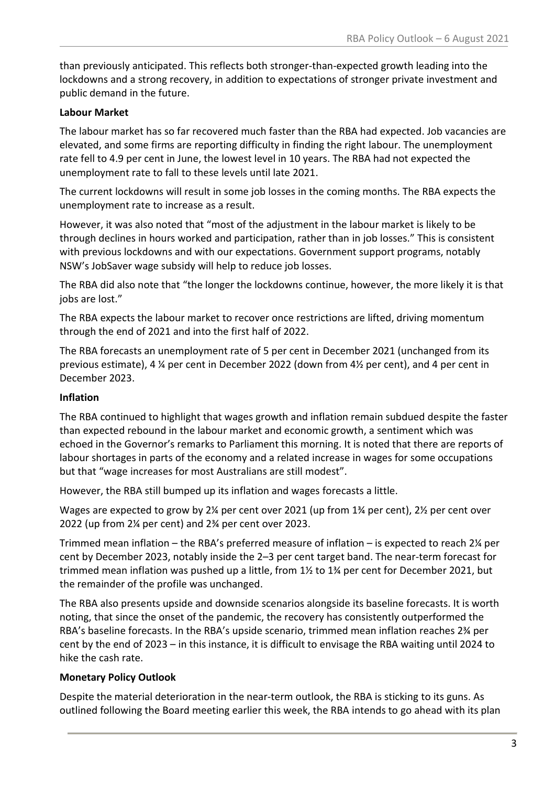than previously anticipated. This reflects both stronger-than-expected growth leading into the lockdowns and a strong recovery, in addition to expectations of stronger private investment and public demand in the future.

### **Labour Market**

The labour market has so far recovered much faster than the RBA had expected. Job vacancies are elevated, and some firms are reporting difficulty in finding the right labour. The unemployment rate fell to 4.9 per cent in June, the lowest level in 10 years. The RBA had not expected the unemployment rate to fall to these levels until late 2021.

The current lockdowns will result in some job losses in the coming months. The RBA expects the unemployment rate to increase as a result.

However, it was also noted that "most of the adjustment in the labour market is likely to be through declines in hours worked and participation, rather than in job losses." This is consistent with previous lockdowns and with our expectations. Government support programs, notably NSW's JobSaver wage subsidy will help to reduce job losses.

The RBA did also note that "the longer the lockdowns continue, however, the more likely it is that jobs are lost."

The RBA expects the labour market to recover once restrictions are lifted, driving momentum through the end of 2021 and into the first half of 2022.

The RBA forecasts an unemployment rate of 5 per cent in December 2021 (unchanged from its previous estimate), 4 ¼ per cent in December 2022 (down from 4½ per cent), and 4 per cent in December 2023.

#### **Inflation**

The RBA continued to highlight that wages growth and inflation remain subdued despite the faster than expected rebound in the labour market and economic growth, a sentiment which was echoed in the Governor's remarks to Parliament this morning. It is noted that there are reports of labour shortages in parts of the economy and a related increase in wages for some occupations but that "wage increases for most Australians are still modest".

However, the RBA still bumped up its inflation and wages forecasts a little.

Wages are expected to grow by 2¼ per cent over 2021 (up from  $1\frac{1}{4}$  per cent), 2½ per cent over 2022 (up from 2¼ per cent) and 2¾ per cent over 2023.

Trimmed mean inflation – the RBA's preferred measure of inflation – is expected to reach 2¼ per cent by December 2023, notably inside the 2–3 per cent target band. The near-term forecast for trimmed mean inflation was pushed up a little, from  $1\frac{1}{2}$  to  $1\frac{3}{4}$  per cent for December 2021, but the remainder of the profile was unchanged.

The RBA also presents upside and downside scenarios alongside its baseline forecasts. It is worth noting, that since the onset of the pandemic, the recovery has consistently outperformed the RBA's baseline forecasts. In the RBA's upside scenario, trimmed mean inflation reaches 2¾ per cent by the end of 2023 – in this instance, it is difficult to envisage the RBA waiting until 2024 to hike the cash rate.

#### **Monetary Policy Outlook**

Despite the material deterioration in the near-term outlook, the RBA is sticking to its guns. As outlined following the Board meeting earlier this week, the RBA intends to go ahead with its plan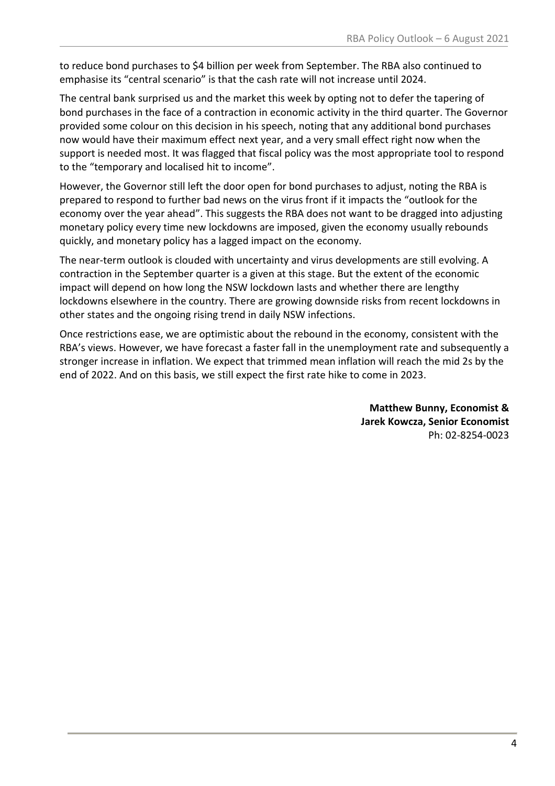to reduce bond purchases to \$4 billion per week from September. The RBA also continued to emphasise its "central scenario" is that the cash rate will not increase until 2024.

The central bank surprised us and the market this week by opting not to defer the tapering of bond purchases in the face of a contraction in economic activity in the third quarter. The Governor provided some colour on this decision in his speech, noting that any additional bond purchases now would have their maximum effect next year, and a very small effect right now when the support is needed most. It was flagged that fiscal policy was the most appropriate tool to respond to the "temporary and localised hit to income".

However, the Governor still left the door open for bond purchases to adjust, noting the RBA is prepared to respond to further bad news on the virus front if it impacts the "outlook for the economy over the year ahead". This suggests the RBA does not want to be dragged into adjusting monetary policy every time new lockdowns are imposed, given the economy usually rebounds quickly, and monetary policy has a lagged impact on the economy.

The near-term outlook is clouded with uncertainty and virus developments are still evolving. A contraction in the September quarter is a given at this stage. But the extent of the economic impact will depend on how long the NSW lockdown lasts and whether there are lengthy lockdowns elsewhere in the country. There are growing downside risks from recent lockdowns in other states and the ongoing rising trend in daily NSW infections.

Once restrictions ease, we are optimistic about the rebound in the economy, consistent with the RBA's views. However, we have forecast a faster fall in the unemployment rate and subsequently a stronger increase in inflation. We expect that trimmed mean inflation will reach the mid 2s by the end of 2022. And on this basis, we still expect the first rate hike to come in 2023.

> **Matthew Bunny, Economist & Jarek Kowcza, Senior Economist** Ph: 02-8254-0023